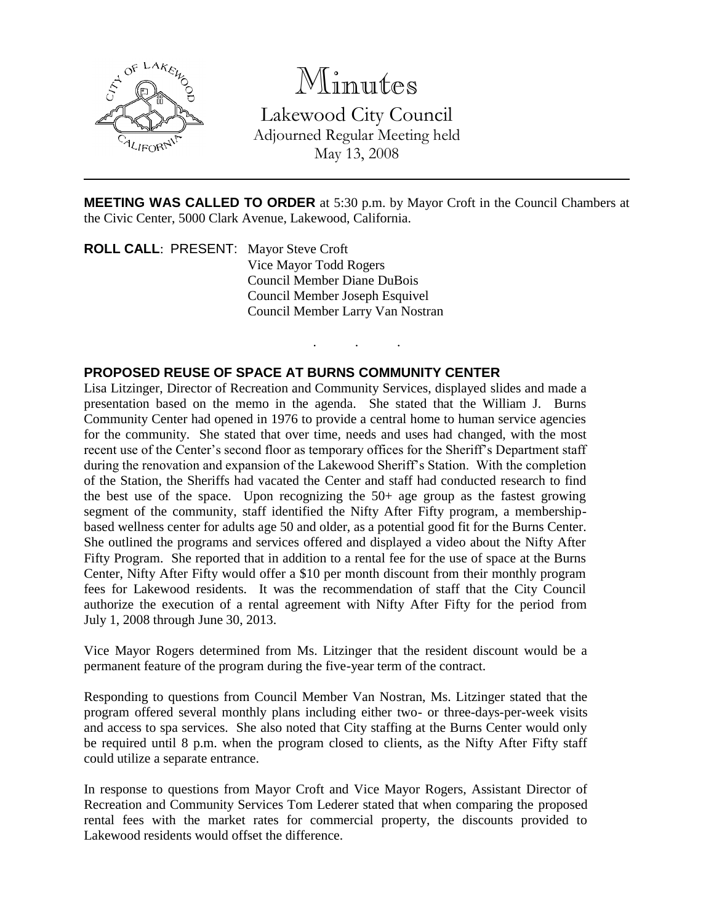

## Minutes

Lakewood City Council Adjourned Regular Meeting held May 13, 2008

**MEETING WAS CALLED TO ORDER** at 5:30 p.m. by Mayor Croft in the Council Chambers at the Civic Center, 5000 Clark Avenue, Lakewood, California.

. . .

**ROLL CALL**: PRESENT: Mayor Steve Croft Vice Mayor Todd Rogers Council Member Diane DuBois Council Member Joseph Esquivel Council Member Larry Van Nostran

## **PROPOSED REUSE OF SPACE AT BURNS COMMUNITY CENTER**

Lisa Litzinger, Director of Recreation and Community Services, displayed slides and made a presentation based on the memo in the agenda. She stated that the William J. Burns Community Center had opened in 1976 to provide a central home to human service agencies for the community. She stated that over time, needs and uses had changed, with the most recent use of the Center's second floor as temporary offices for the Sheriff's Department staff during the renovation and expansion of the Lakewood Sheriff's Station. With the completion of the Station, the Sheriffs had vacated the Center and staff had conducted research to find the best use of the space. Upon recognizing the 50+ age group as the fastest growing segment of the community, staff identified the Nifty After Fifty program, a membershipbased wellness center for adults age 50 and older, as a potential good fit for the Burns Center. She outlined the programs and services offered and displayed a video about the Nifty After Fifty Program. She reported that in addition to a rental fee for the use of space at the Burns Center, Nifty After Fifty would offer a \$10 per month discount from their monthly program fees for Lakewood residents. It was the recommendation of staff that the City Council authorize the execution of a rental agreement with Nifty After Fifty for the period from July 1, 2008 through June 30, 2013.

Vice Mayor Rogers determined from Ms. Litzinger that the resident discount would be a permanent feature of the program during the five-year term of the contract.

Responding to questions from Council Member Van Nostran, Ms. Litzinger stated that the program offered several monthly plans including either two- or three-days-per-week visits and access to spa services. She also noted that City staffing at the Burns Center would only be required until 8 p.m. when the program closed to clients, as the Nifty After Fifty staff could utilize a separate entrance.

In response to questions from Mayor Croft and Vice Mayor Rogers, Assistant Director of Recreation and Community Services Tom Lederer stated that when comparing the proposed rental fees with the market rates for commercial property, the discounts provided to Lakewood residents would offset the difference.